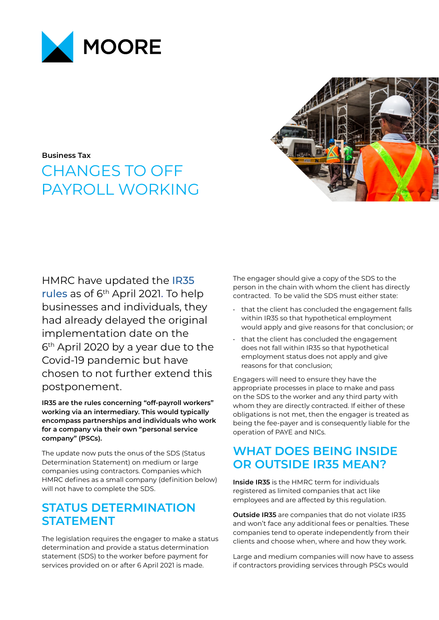

**Business Tax**

# CHANGES TO OFF PAYROLL WORKING

HMRC have updated the [IR35](https://www.gov.uk/guidance/understanding-off-payroll-working-ir35)  [rules](https://www.gov.uk/guidance/understanding-off-payroll-working-ir35) as of 6th April 2021. To help businesses and individuals, they had already delayed the original implementation date on the 6<sup>th</sup> April 2020 by a year due to the Covid-19 pandemic but have chosen to not further extend this postponement.

**IR35 are the rules concerning "off-payroll workers" working via an intermediary. This would typically encompass partnerships and individuals who work for a company via their own "personal service company" (PSCs).**

The update now puts the onus of the SDS (Status Determination Statement) on medium or large companies using contractors. Companies which HMRC defines as a small company (definition below) will not have to complete the SDS.

### **STATUS DETERMINATION STATEMENT**

The legislation requires the engager to make a status determination and provide a status determination statement (SDS) to the worker before payment for services provided on or after 6 April 2021 is made.

The engager should give a copy of the SDS to the person in the chain with whom the client has directly contracted. To be valid the SDS must either state:

- that the client has concluded the engagement falls within IR35 so that hypothetical employment would apply and give reasons for that conclusion; or
- that the client has concluded the engagement does not fall within IR35 so that hypothetical employment status does not apply and give reasons for that conclusion;

Engagers will need to ensure they have the appropriate processes in place to make and pass on the SDS to the worker and any third party with whom they are directly contracted. If either of these obligations is not met, then the engager is treated as being the fee-payer and is consequently liable for the operation of PAYE and NICs.

### **WHAT DOES BEING INSIDE OR OUTSIDE IR35 MEAN?**

**Inside IR35** is the HMRC term for individuals registered as limited companies that act like employees and are affected by this regulation.

**Outside IR35** are companies that do not violate IR35 and won't face any additional fees or penalties. These companies tend to operate independently from their clients and choose when, where and how they work.

Large and medium companies will now have to assess if contractors providing services through PSCs would

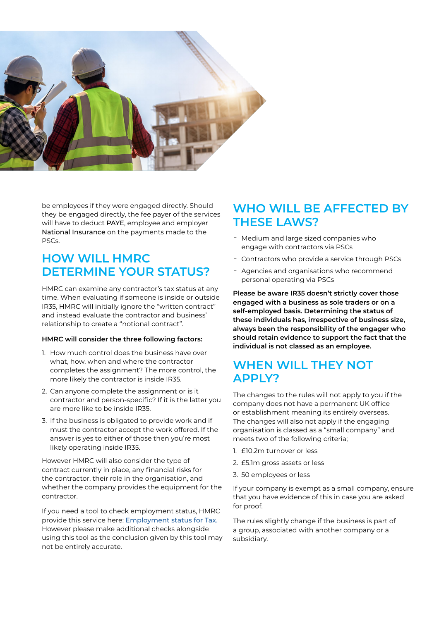

be employees if they were engaged directly. Should they be engaged directly, the fee payer of the services will have to deduct [PAYE](https://www.gov.uk/paye-online), employee and employer [National Insurance](https://www.gov.uk/national-insurance) on the payments made to the PSCs.

#### **HOW WILL HMRC DETERMINE YOUR STATUS?**

HMRC can examine any contractor's tax status at any time. When evaluating if someone is inside or outside IR35, HMRC will initially ignore the "written contract" and instead evaluate the contractor and business' relationship to create a "notional contract".

#### **HMRC will consider the three following factors:**

- 1. How much control does the business have over what, how, when and where the contractor completes the assignment? The more control, the more likely the contractor is inside IR35.
- 2. Can anyone complete the assignment or is it contractor and person-specific? If it is the latter you are more like to be inside IR35.
- 3. If the business is obligated to provide work and if must the contractor accept the work offered. If the answer is yes to either of those then you're most likely operating inside IR35.

However HMRC will also consider the type of contract currently in place, any financial risks for the contractor, their role in the organisation, and whether the company provides the equipment for the contractor.

If you need a tool to check employment status, HMRC provide this service here: [Employment status for Tax.](https://www.gov.uk/guidance/check-employment-status-for-tax)  However please make additional checks alongside using this tool as the conclusion given by this tool may not be entirely accurate.

### **WHO WILL BE AFFECTED BY THESE LAWS?**

- Medium and large sized companies who engage with contractors via PSCs
- Contractors who provide a service through PSCs
- ̵ Agencies and organisations who recommend personal operating via PSCs

**Please be aware IR35 doesn't strictly cover those engaged with a business as sole traders or on a self-employed basis. Determining the status of these individuals has, irrespective of business size, always been the responsibility of the engager who should retain evidence to support the fact that the individual is not classed as an employee.**

### **WHEN WILL THEY NOT APPLY?**

The changes to the rules will not apply to you if the company does not have a permanent UK office or establishment meaning its entirely overseas. The changes will also not apply if the engaging organisation is classed as a "small company" and meets two of the following criteria;

- 1. £10.2m turnover or less
- 2. £5.1m gross assets or less
- 3. 50 employees or less

If your company is exempt as a small company, ensure that you have evidence of this in case you are asked for proof.

The rules slightly change if the business is part of a group, associated with another company or a subsidiary.